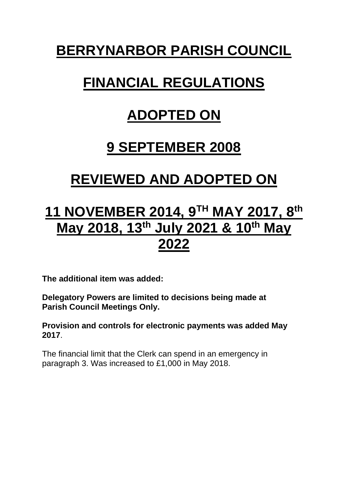# **BERRYNARBOR PARISH COUNCIL**

# **FINANCIAL REGULATIONS**

# **ADOPTED ON**

### **9 SEPTEMBER 2008**

# **REVIEWED AND ADOPTED ON**

## **11 NOVEMBER 2014, 9 TH MAY 2017, 8 th May 2018, 13th July 2021 & 10th May 2022**

**The additional item was added:** 

**Delegatory Powers are limited to decisions being made at Parish Council Meetings Only.**

**Provision and controls for electronic payments was added May 2017**.

The financial limit that the Clerk can spend in an emergency in paragraph 3. Was increased to £1,000 in May 2018.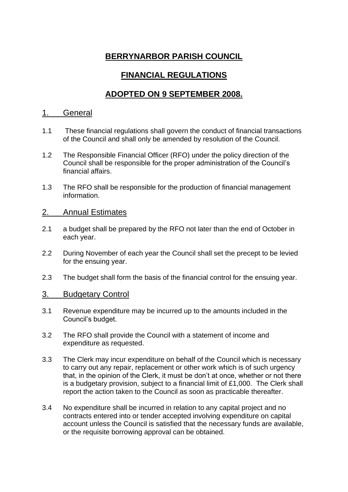### **BERRYNARBOR PARISH COUNCIL**

### **FINANCIAL REGULATIONS**

### **ADOPTED ON 9 SEPTEMBER 2008.**

#### 1. General

- 1.1 These financial regulations shall govern the conduct of financial transactions of the Council and shall only be amended by resolution of the Council.
- 1.2 The Responsible Financial Officer (RFO) under the policy direction of the Council shall be responsible for the proper administration of the Council's financial affairs.
- 1.3 The RFO shall be responsible for the production of financial management information.

#### 2. Annual Estimates

- 2.1 a budget shall be prepared by the RFO not later than the end of October in each year.
- 2.2 During November of each year the Council shall set the precept to be levied for the ensuing year.
- 2.3 The budget shall form the basis of the financial control for the ensuing year.

#### 3. Budgetary Control

- 3.1 Revenue expenditure may be incurred up to the amounts included in the Council's budget.
- 3.2 The RFO shall provide the Council with a statement of income and expenditure as requested.
- 3.3 The Clerk may incur expenditure on behalf of the Council which is necessary to carry out any repair, replacement or other work which is of such urgency that, in the opinion of the Clerk, it must be don't at once, whether or not there is a budgetary provision, subject to a financial limit of £1,000. The Clerk shall report the action taken to the Council as soon as practicable thereafter.
- 3.4 No expenditure shall be incurred in relation to any capital project and no contracts entered into or tender accepted involving expenditure on capital account unless the Council is satisfied that the necessary funds are available, or the requisite borrowing approval can be obtained.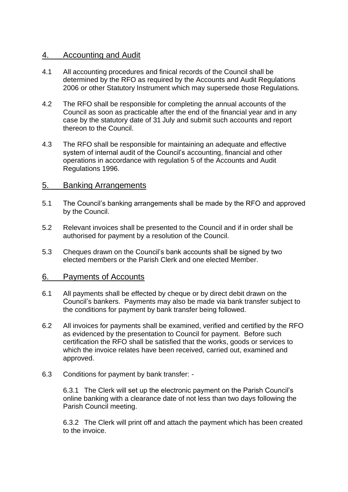#### 4. Accounting and Audit

- 4.1 All accounting procedures and finical records of the Council shall be determined by the RFO as required by the Accounts and Audit Regulations 2006 or other Statutory Instrument which may supersede those Regulations.
- 4.2 The RFO shall be responsible for completing the annual accounts of the Council as soon as practicable after the end of the financial year and in any case by the statutory date of 31 July and submit such accounts and report thereon to the Council.
- 4.3 The RFO shall be responsible for maintaining an adequate and effective system of internal audit of the Council's accounting, financial and other operations in accordance with regulation 5 of the Accounts and Audit Regulations 1996.

#### 5. Banking Arrangements

- 5.1 The Council's banking arrangements shall be made by the RFO and approved by the Council.
- 5.2 Relevant invoices shall be presented to the Council and if in order shall be authorised for payment by a resolution of the Council.
- 5.3 Cheques drawn on the Council's bank accounts shall be signed by two elected members or the Parish Clerk and one elected Member.

#### 6. Payments of Accounts

- 6.1 All payments shall be effected by cheque or by direct debit drawn on the Council's bankers. Payments may also be made via bank transfer subject to the conditions for payment by bank transfer being followed.
- 6.2 All invoices for payments shall be examined, verified and certified by the RFO as evidenced by the presentation to Council for payment. Before such certification the RFO shall be satisfied that the works, goods or services to which the invoice relates have been received, carried out, examined and approved.
- 6.3 Conditions for payment by bank transfer: -

6.3.1 The Clerk will set up the electronic payment on the Parish Council's online banking with a clearance date of not less than two days following the Parish Council meeting.

6.3.2 The Clerk will print off and attach the payment which has been created to the invoice.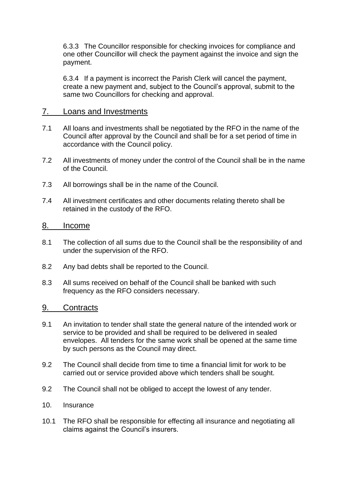6.3.3 The Councillor responsible for checking invoices for compliance and one other Councillor will check the payment against the invoice and sign the payment.

6.3.4 If a payment is incorrect the Parish Clerk will cancel the payment, create a new payment and, subject to the Council's approval, submit to the same two Councillors for checking and approval.

#### 7. Loans and Investments

- 7.1 All loans and investments shall be negotiated by the RFO in the name of the Council after approval by the Council and shall be for a set period of time in accordance with the Council policy.
- 7.2 All investments of money under the control of the Council shall be in the name of the Council.
- 7.3 All borrowings shall be in the name of the Council.
- 7.4 All investment certificates and other documents relating thereto shall be retained in the custody of the RFO.

#### 8. Income

- 8.1 The collection of all sums due to the Council shall be the responsibility of and under the supervision of the RFO.
- 8.2 Any bad debts shall be reported to the Council.
- 8.3 All sums received on behalf of the Council shall be banked with such frequency as the RFO considers necessary.

#### 9. Contracts

- 9.1 An invitation to tender shall state the general nature of the intended work or service to be provided and shall be required to be delivered in sealed envelopes. All tenders for the same work shall be opened at the same time by such persons as the Council may direct.
- 9.2 The Council shall decide from time to time a financial limit for work to be carried out or service provided above which tenders shall be sought.
- 9.2 The Council shall not be obliged to accept the lowest of any tender.
- 10. Insurance
- 10.1 The RFO shall be responsible for effecting all insurance and negotiating all claims against the Council's insurers.